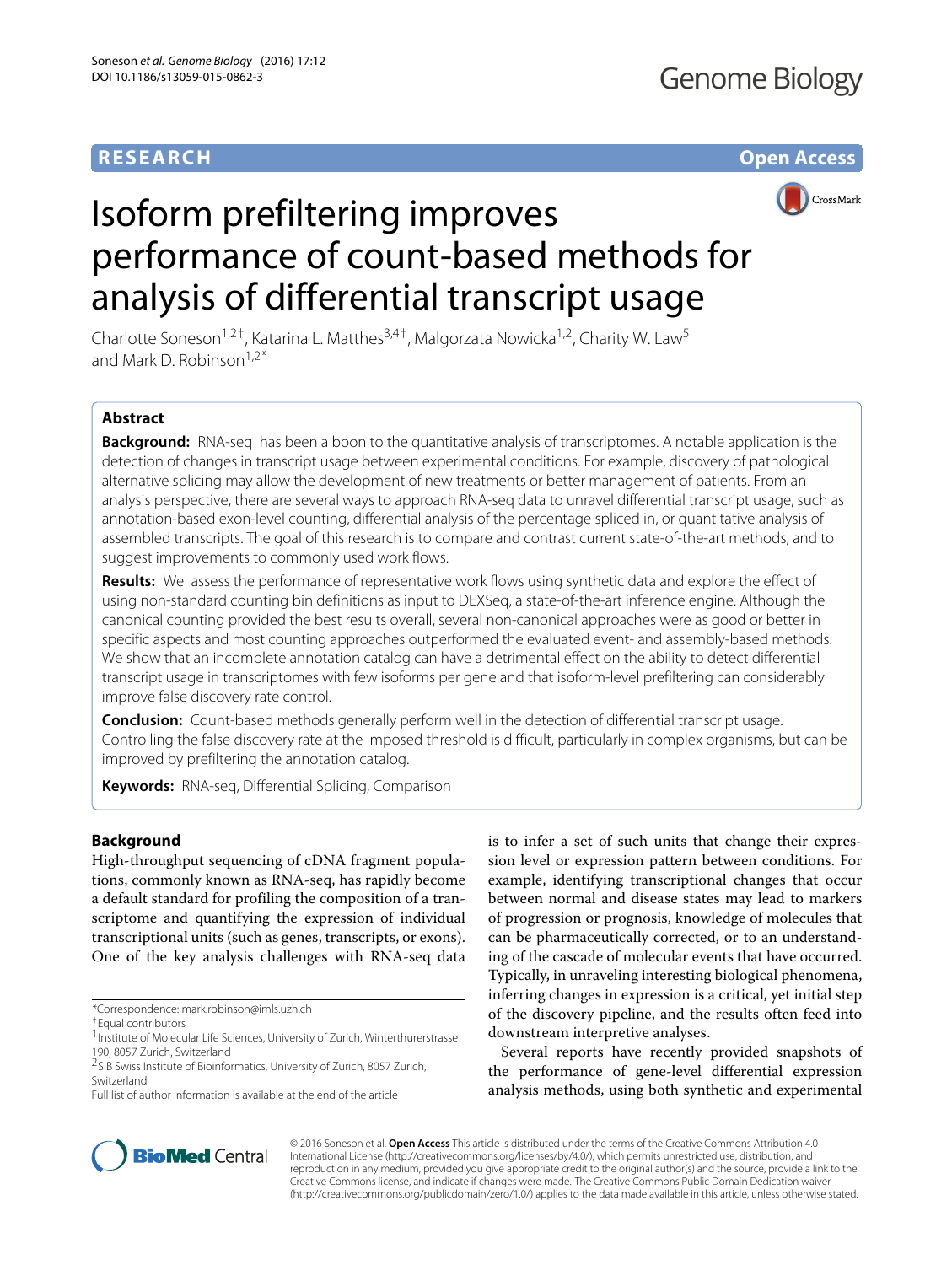# **RESEARCH Open Access**



# Isoform prefiltering improves performance of count-based methods for analysis of differential transcript usage

Charlotte Soneson<sup>1,2†</sup>, Katarina L. Matthes<sup>3,4†</sup>, Malgorzata Nowicka<sup>1,2</sup>, Charity W. Law<sup>5</sup> and Mark D. Robinson<sup>1,2\*</sup>

## **Abstract**

**Background:** RNA-seq has been a boon to the quantitative analysis of transcriptomes. A notable application is the detection of changes in transcript usage between experimental conditions. For example, discovery of pathological alternative splicing may allow the development of new treatments or better management of patients. From an analysis perspective, there are several ways to approach RNA-seq data to unravel differential transcript usage, such as annotation-based exon-level counting, differential analysis of the percentage spliced in, or quantitative analysis of assembled transcripts. The goal of this research is to compare and contrast current state-of-the-art methods, and to suggest improvements to commonly used work flows.

**Results:** We assess the performance of representative work flows using synthetic data and explore the effect of using non-standard counting bin definitions as input to DEXSeq, a state-of-the-art inference engine. Although the canonical counting provided the best results overall, several non-canonical approaches were as good or better in specific aspects and most counting approaches outperformed the evaluated event- and assembly-based methods. We show that an incomplete annotation catalog can have a detrimental effect on the ability to detect differential transcript usage in transcriptomes with few isoforms per gene and that isoform-level prefiltering can considerably improve false discovery rate control.

**Conclusion:** Count-based methods generally perform well in the detection of differential transcript usage. Controlling the false discovery rate at the imposed threshold is difficult, particularly in complex organisms, but can be improved by prefiltering the annotation catalog.

**Keywords:** RNA-seq, Differential Splicing, Comparison

### **Background**

High-throughput sequencing of cDNA fragment populations, commonly known as RNA-seq, has rapidly become a default standard for profiling the composition of a transcriptome and quantifying the expression of individual transcriptional units (such as genes, transcripts, or exons). One of the key analysis challenges with RNA-seq data

\*Correspondence: [mark.robinson@imls.uzh.ch](mailto: mark.robinson@imls.uzh.ch)

is to infer a set of such units that change their expression level or expression pattern between conditions. For example, identifying transcriptional changes that occur between normal and disease states may lead to markers of progression or prognosis, knowledge of molecules that can be pharmaceutically corrected, or to an understanding of the cascade of molecular events that have occurred. Typically, in unraveling interesting biological phenomena, inferring changes in expression is a critical, yet initial step of the discovery pipeline, and the results often feed into downstream interpretive analyses.

Several reports have recently provided snapshots of the performance of gene-level differential expression analysis methods, using both synthetic and experimental



© 2016 Soneson et al. **Open Access** This article is distributed under the terms of the Creative Commons Attribution 4.0 International License [\(http://creativecommons.org/licenses/by/4.0/\)](http://creativecommons.org/licenses/by/4.0/), which permits unrestricted use, distribution, and reproduction in any medium, provided you give appropriate credit to the original author(s) and the source, provide a link to the Creative Commons license, and indicate if changes were made. The Creative Commons Public Domain Dedication waiver [\(http://creativecommons.org/publicdomain/zero/1.0/\)](http://creativecommons.org/publicdomain/zero/1.0/) applies to the data made available in this article, unless otherwise stated.

<sup>†</sup>Equal contributors

<sup>&</sup>lt;sup>1</sup> Institute of Molecular Life Sciences, University of Zurich, Winterthurerstrasse 190, 8057 Zurich, Switzerland

<sup>2</sup>SIB Swiss Institute of Bioinformatics, University of Zurich, 8057 Zurich, Switzerland

Full list of author information is available at the end of the article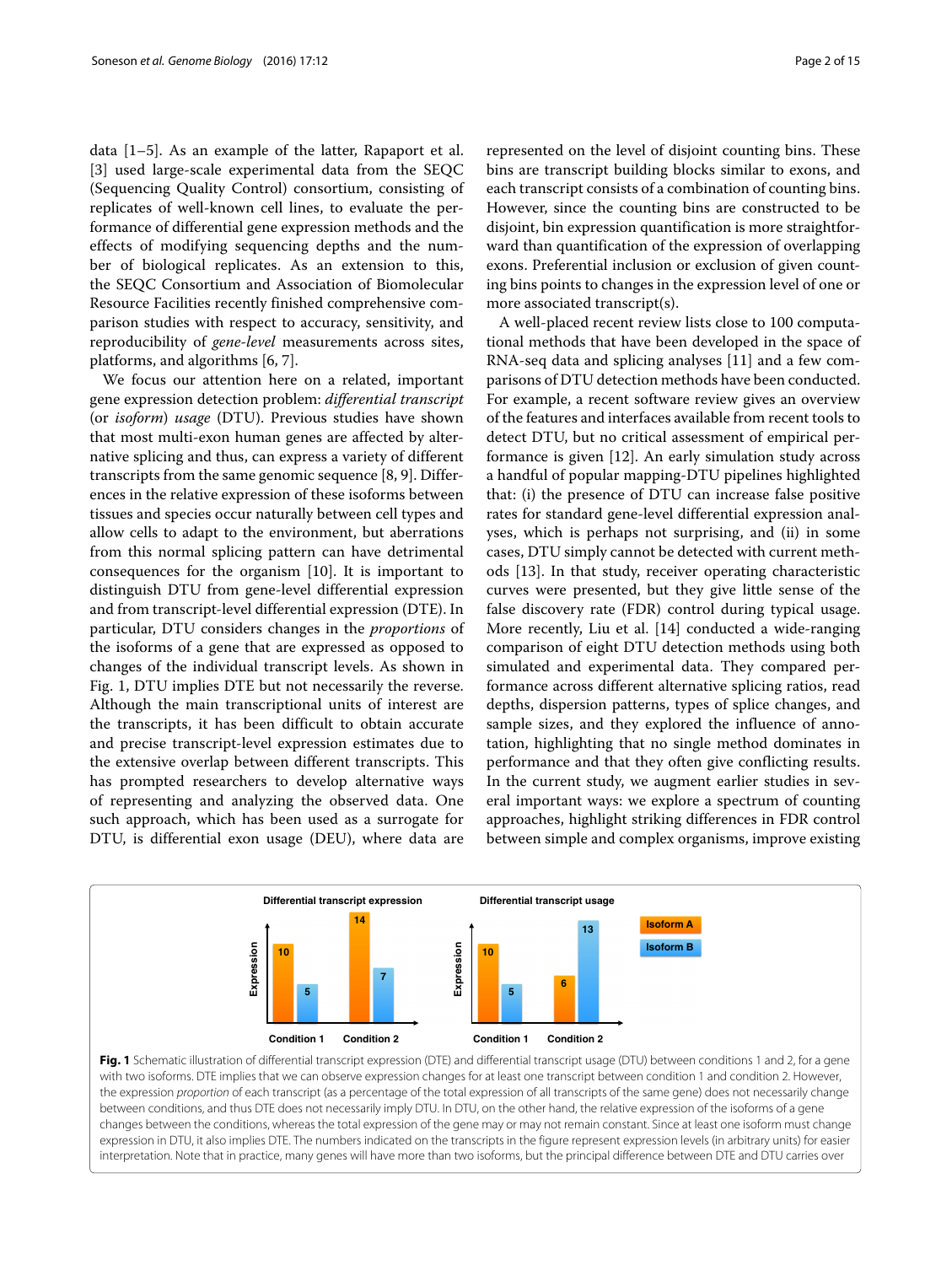data [\[1–](#page-13-0)[5\]](#page-14-0). As an example of the latter, Rapaport et al. [\[3\]](#page-13-1) used large-scale experimental data from the SEQC (Sequencing Quality Control) consortium, consisting of replicates of well-known cell lines, to evaluate the performance of differential gene expression methods and the effects of modifying sequencing depths and the number of biological replicates. As an extension to this, the SEQC Consortium and Association of Biomolecular Resource Facilities recently finished comprehensive comparison studies with respect to accuracy, sensitivity, and reproducibility of *gene-level* measurements across sites, platforms, and algorithms [\[6,](#page-14-1) [7\]](#page-14-2).

We focus our attention here on a related, important gene expression detection problem: *differential transcript* (or *isoform*) *usage* (DTU). Previous studies have shown that most multi-exon human genes are affected by alternative splicing and thus, can express a variety of different transcripts from the same genomic sequence [\[8,](#page-14-3) [9\]](#page-14-4). Differences in the relative expression of these isoforms between tissues and species occur naturally between cell types and allow cells to adapt to the environment, but aberrations from this normal splicing pattern can have detrimental consequences for the organism [\[10\]](#page-14-5). It is important to distinguish DTU from gene-level differential expression and from transcript-level differential expression (DTE). In particular, DTU considers changes in the *proportions* of the isoforms of a gene that are expressed as opposed to changes of the individual transcript levels. As shown in Fig. [1,](#page-1-0) DTU implies DTE but not necessarily the reverse. Although the main transcriptional units of interest are the transcripts, it has been difficult to obtain accurate and precise transcript-level expression estimates due to the extensive overlap between different transcripts. This has prompted researchers to develop alternative ways of representing and analyzing the observed data. One such approach, which has been used as a surrogate for DTU, is differential exon usage (DEU), where data are

represented on the level of disjoint counting bins. These bins are transcript building blocks similar to exons, and each transcript consists of a combination of counting bins. However, since the counting bins are constructed to be disjoint, bin expression quantification is more straightforward than quantification of the expression of overlapping exons. Preferential inclusion or exclusion of given counting bins points to changes in the expression level of one or more associated transcript(s).

A well-placed recent review lists close to 100 computational methods that have been developed in the space of RNA-seq data and splicing analyses [\[11\]](#page-14-6) and a few comparisons of DTU detection methods have been conducted. For example, a recent software review gives an overview of the features and interfaces available from recent tools to detect DTU, but no critical assessment of empirical performance is given [\[12\]](#page-14-7). An early simulation study across a handful of popular mapping-DTU pipelines highlighted that: (i) the presence of DTU can increase false positive rates for standard gene-level differential expression analyses, which is perhaps not surprising, and (ii) in some cases, DTU simply cannot be detected with current methods [\[13\]](#page-14-8). In that study, receiver operating characteristic curves were presented, but they give little sense of the false discovery rate (FDR) control during typical usage. More recently, Liu et al. [\[14\]](#page-14-9) conducted a wide-ranging comparison of eight DTU detection methods using both simulated and experimental data. They compared performance across different alternative splicing ratios, read depths, dispersion patterns, types of splice changes, and sample sizes, and they explored the influence of annotation, highlighting that no single method dominates in performance and that they often give conflicting results. In the current study, we augment earlier studies in several important ways: we explore a spectrum of counting approaches, highlight striking differences in FDR control between simple and complex organisms, improve existing



<span id="page-1-0"></span>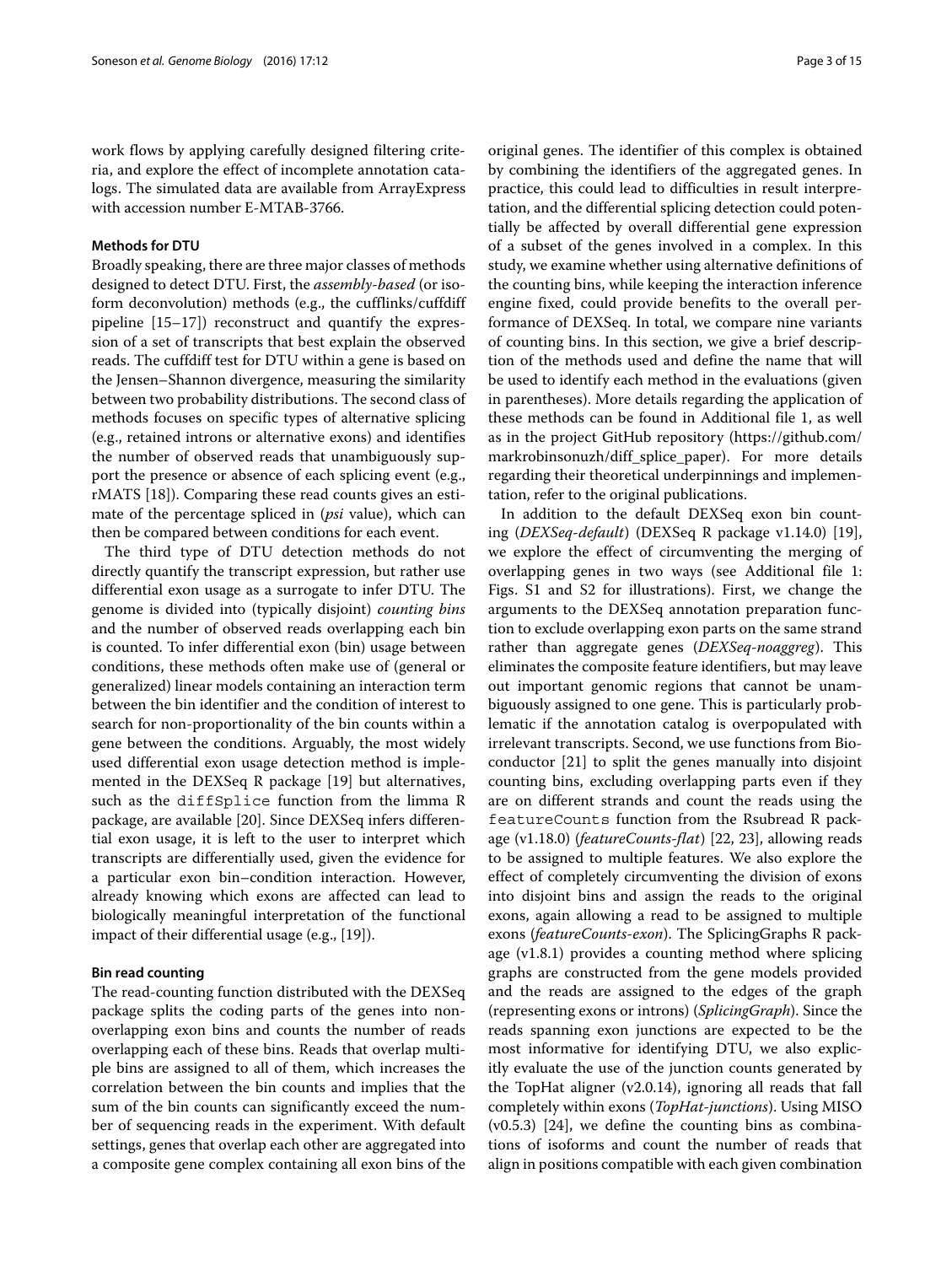work flows by applying carefully designed filtering criteria, and explore the effect of incomplete annotation catalogs. The simulated data are available from ArrayExpress with accession number E-MTAB-3766.

#### **Methods for DTU**

Broadly speaking, there are three major classes of methods designed to detect DTU. First, the *assembly-based* (or isoform deconvolution) methods (e.g., the cufflinks/cuffdiff pipeline [\[15](#page-14-10)[–17\]](#page-14-11)) reconstruct and quantify the expression of a set of transcripts that best explain the observed reads. The cuffdiff test for DTU within a gene is based on the Jensen–Shannon divergence, measuring the similarity between two probability distributions. The second class of methods focuses on specific types of alternative splicing (e.g., retained introns or alternative exons) and identifies the number of observed reads that unambiguously support the presence or absence of each splicing event (e.g., rMATS [\[18\]](#page-14-12)). Comparing these read counts gives an estimate of the percentage spliced in (*psi* value), which can then be compared between conditions for each event.

The third type of DTU detection methods do not directly quantify the transcript expression, but rather use differential exon usage as a surrogate to infer DTU. The genome is divided into (typically disjoint) *counting bins* and the number of observed reads overlapping each bin is counted. To infer differential exon (bin) usage between conditions, these methods often make use of (general or generalized) linear models containing an interaction term between the bin identifier and the condition of interest to search for non-proportionality of the bin counts within a gene between the conditions. Arguably, the most widely used differential exon usage detection method is implemented in the DEXSeq R package [\[19\]](#page-14-13) but alternatives, such as the diffSplice function from the limma R package, are available [\[20\]](#page-14-14). Since DEXSeq infers differential exon usage, it is left to the user to interpret which transcripts are differentially used, given the evidence for a particular exon bin–condition interaction. However, already knowing which exons are affected can lead to biologically meaningful interpretation of the functional impact of their differential usage (e.g., [\[19\]](#page-14-13)).

#### **Bin read counting**

The read-counting function distributed with the DEXSeq package splits the coding parts of the genes into nonoverlapping exon bins and counts the number of reads overlapping each of these bins. Reads that overlap multiple bins are assigned to all of them, which increases the correlation between the bin counts and implies that the sum of the bin counts can significantly exceed the number of sequencing reads in the experiment. With default settings, genes that overlap each other are aggregated into a composite gene complex containing all exon bins of the original genes. The identifier of this complex is obtained by combining the identifiers of the aggregated genes. In practice, this could lead to difficulties in result interpretation, and the differential splicing detection could potentially be affected by overall differential gene expression of a subset of the genes involved in a complex. In this study, we examine whether using alternative definitions of the counting bins, while keeping the interaction inference engine fixed, could provide benefits to the overall performance of DEXSeq. In total, we compare nine variants of counting bins. In this section, we give a brief description of the methods used and define the name that will be used to identify each method in the evaluations (given in parentheses). More details regarding the application of these methods can be found in Additional file [1,](#page-13-2) as well as in the project GitHub repository [\(https://github.com/](https://github.com/markrobinsonuzh/diff_splice_paper) [markrobinsonuzh/diff\\_splice\\_paper\)](https://github.com/markrobinsonuzh/diff_splice_paper). For more details regarding their theoretical underpinnings and implementation, refer to the original publications.

In addition to the default DEXSeq exon bin counting (*DEXSeq-default*) (DEXSeq R package v1.14.0) [\[19\]](#page-14-13), we explore the effect of circumventing the merging of overlapping genes in two ways (see Additional file [1:](#page-13-2) Figs. S1 and S2 for illustrations). First, we change the arguments to the DEXSeq annotation preparation function to exclude overlapping exon parts on the same strand rather than aggregate genes (*DEXSeq-noaggreg*). This eliminates the composite feature identifiers, but may leave out important genomic regions that cannot be unambiguously assigned to one gene. This is particularly problematic if the annotation catalog is overpopulated with irrelevant transcripts. Second, we use functions from Bioconductor [\[21\]](#page-14-15) to split the genes manually into disjoint counting bins, excluding overlapping parts even if they are on different strands and count the reads using the featureCounts function from the Rsubread R package (v1.18.0) (*featureCounts-flat*) [\[22,](#page-14-16) [23\]](#page-14-17), allowing reads to be assigned to multiple features. We also explore the effect of completely circumventing the division of exons into disjoint bins and assign the reads to the original exons, again allowing a read to be assigned to multiple exons (*featureCounts-exon*). The SplicingGraphs R package (v1.8.1) provides a counting method where splicing graphs are constructed from the gene models provided and the reads are assigned to the edges of the graph (representing exons or introns) (*SplicingGraph*). Since the reads spanning exon junctions are expected to be the most informative for identifying DTU, we also explicitly evaluate the use of the junction counts generated by the TopHat aligner (v2.0.14), ignoring all reads that fall completely within exons (*TopHat-junctions*). Using MISO (v0.5.3) [\[24\]](#page-14-18), we define the counting bins as combinations of isoforms and count the number of reads that align in positions compatible with each given combination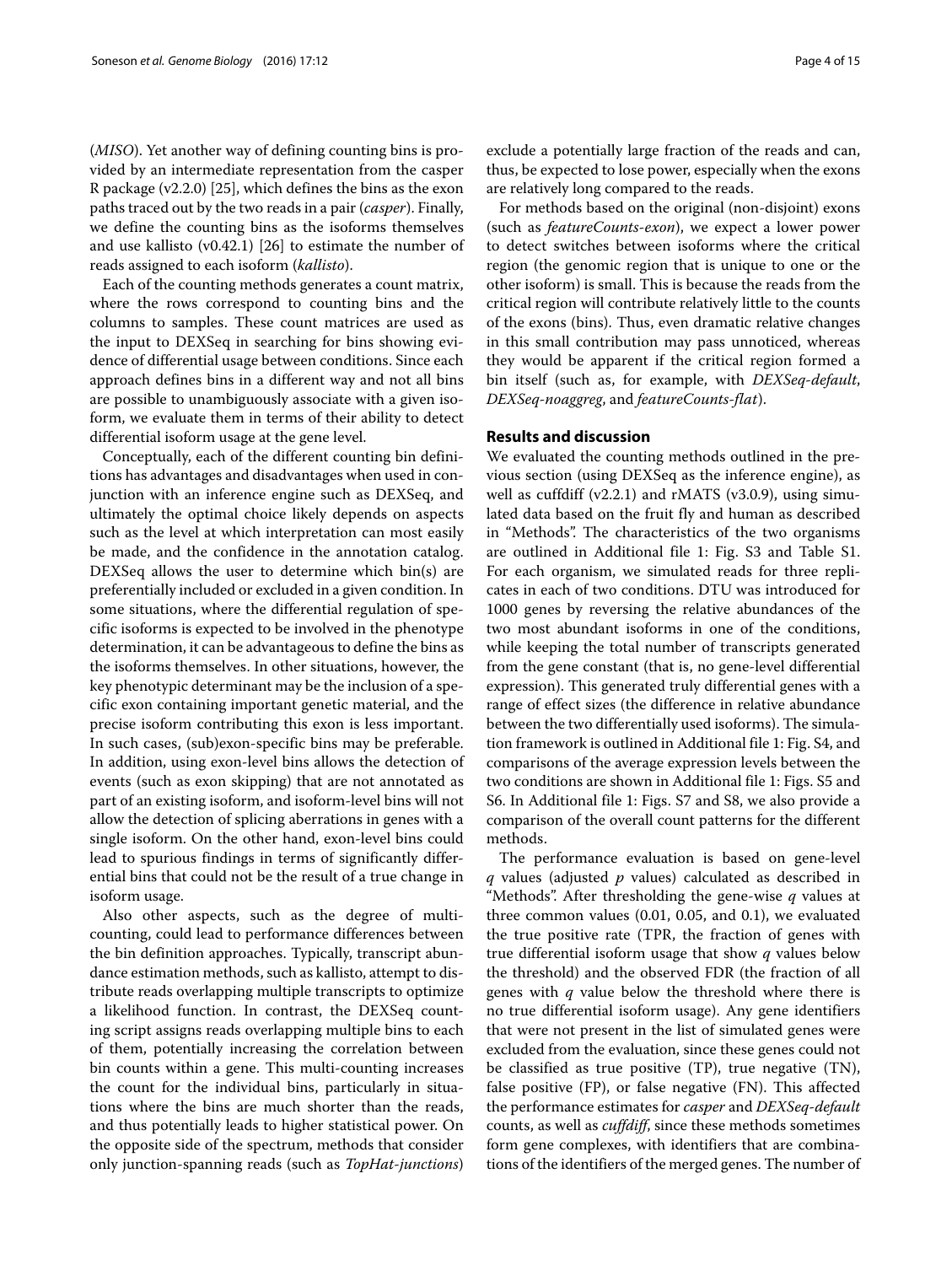(*MISO*). Yet another way of defining counting bins is provided by an intermediate representation from the casper R package (v2.2.0) [\[25\]](#page-14-19), which defines the bins as the exon paths traced out by the two reads in a pair (*casper*). Finally, we define the counting bins as the isoforms themselves and use kallisto (v0.42.1) [\[26\]](#page-14-20) to estimate the number of reads assigned to each isoform (*kallisto*).

Each of the counting methods generates a count matrix, where the rows correspond to counting bins and the columns to samples. These count matrices are used as the input to DEXSeq in searching for bins showing evidence of differential usage between conditions. Since each approach defines bins in a different way and not all bins are possible to unambiguously associate with a given isoform, we evaluate them in terms of their ability to detect differential isoform usage at the gene level.

Conceptually, each of the different counting bin definitions has advantages and disadvantages when used in conjunction with an inference engine such as DEXSeq, and ultimately the optimal choice likely depends on aspects such as the level at which interpretation can most easily be made, and the confidence in the annotation catalog. DEXSeq allows the user to determine which bin(s) are preferentially included or excluded in a given condition. In some situations, where the differential regulation of specific isoforms is expected to be involved in the phenotype determination, it can be advantageous to define the bins as the isoforms themselves. In other situations, however, the key phenotypic determinant may be the inclusion of a specific exon containing important genetic material, and the precise isoform contributing this exon is less important. In such cases, (sub)exon-specific bins may be preferable. In addition, using exon-level bins allows the detection of events (such as exon skipping) that are not annotated as part of an existing isoform, and isoform-level bins will not allow the detection of splicing aberrations in genes with a single isoform. On the other hand, exon-level bins could lead to spurious findings in terms of significantly differential bins that could not be the result of a true change in isoform usage.

Also other aspects, such as the degree of multicounting, could lead to performance differences between the bin definition approaches. Typically, transcript abundance estimation methods, such as kallisto, attempt to distribute reads overlapping multiple transcripts to optimize a likelihood function. In contrast, the DEXSeq counting script assigns reads overlapping multiple bins to each of them, potentially increasing the correlation between bin counts within a gene. This multi-counting increases the count for the individual bins, particularly in situations where the bins are much shorter than the reads, and thus potentially leads to higher statistical power. On the opposite side of the spectrum, methods that consider only junction-spanning reads (such as *TopHat-junctions*)

exclude a potentially large fraction of the reads and can, thus, be expected to lose power, especially when the exons are relatively long compared to the reads.

For methods based on the original (non-disjoint) exons (such as *featureCounts-exon*), we expect a lower power to detect switches between isoforms where the critical region (the genomic region that is unique to one or the other isoform) is small. This is because the reads from the critical region will contribute relatively little to the counts of the exons (bins). Thus, even dramatic relative changes in this small contribution may pass unnoticed, whereas they would be apparent if the critical region formed a bin itself (such as, for example, with *DEXSeq-default*, *DEXSeq-noaggreg*, and *featureCounts-flat*).

#### **Results and discussion**

We evaluated the counting methods outlined in the previous section (using DEXSeq as the inference engine), as well as cuffdiff (v2.2.1) and rMATS (v3.0.9), using simulated data based on the fruit fly and human as described in ["Methods"](#page-11-0). The characteristics of the two organisms are outlined in Additional file [1:](#page-13-2) Fig. S3 and Table S1. For each organism, we simulated reads for three replicates in each of two conditions. DTU was introduced for 1000 genes by reversing the relative abundances of the two most abundant isoforms in one of the conditions, while keeping the total number of transcripts generated from the gene constant (that is, no gene-level differential expression). This generated truly differential genes with a range of effect sizes (the difference in relative abundance between the two differentially used isoforms). The simulation framework is outlined in Additional file [1:](#page-13-2) Fig. S4, and comparisons of the average expression levels between the two conditions are shown in Additional file [1:](#page-13-2) Figs. S5 and S6. In Additional file [1:](#page-13-2) Figs. S7 and S8, we also provide a comparison of the overall count patterns for the different methods.

The performance evaluation is based on gene-level *q* values (adjusted *p* values) calculated as described in ["Methods"](#page-11-0). After thresholding the gene-wise *q* values at three common values (0.01, 0.05, and 0.1), we evaluated the true positive rate (TPR, the fraction of genes with true differential isoform usage that show *q* values below the threshold) and the observed FDR (the fraction of all genes with *q* value below the threshold where there is no true differential isoform usage). Any gene identifiers that were not present in the list of simulated genes were excluded from the evaluation, since these genes could not be classified as true positive (TP), true negative (TN), false positive (FP), or false negative (FN). This affected the performance estimates for *casper* and *DEXSeq-default* counts, as well as *cuffdiff*, since these methods sometimes form gene complexes, with identifiers that are combinations of the identifiers of the merged genes. The number of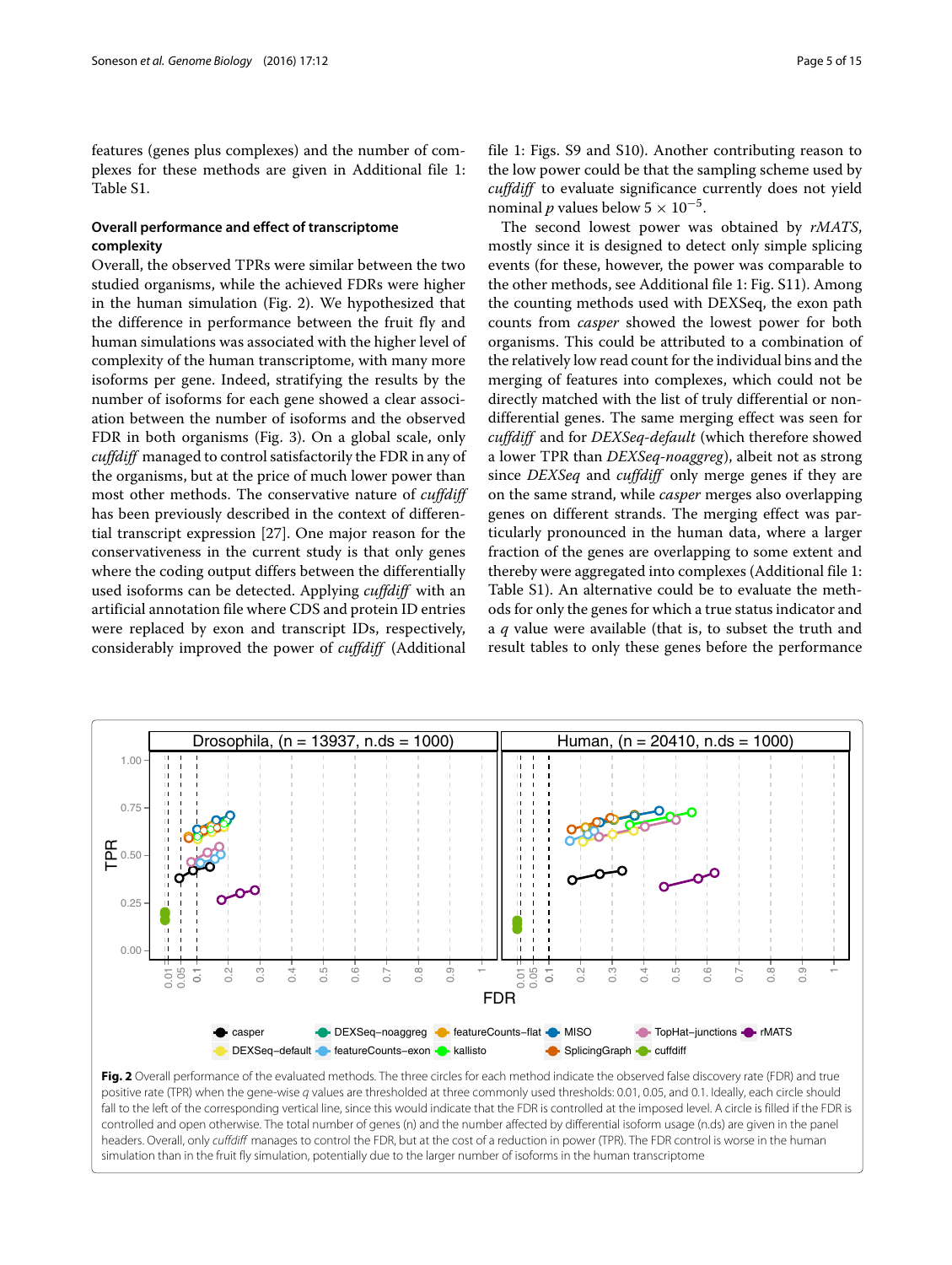features (genes plus complexes) and the number of complexes for these methods are given in Additional file [1:](#page-13-2) Table S1.

### **Overall performance and effect of transcriptome complexity**

Overall, the observed TPRs were similar between the two studied organisms, while the achieved FDRs were higher in the human simulation (Fig. [2\)](#page-4-0). We hypothesized that the difference in performance between the fruit fly and human simulations was associated with the higher level of complexity of the human transcriptome, with many more isoforms per gene. Indeed, stratifying the results by the number of isoforms for each gene showed a clear association between the number of isoforms and the observed FDR in both organisms (Fig. [3\)](#page-5-0). On a global scale, only *cuffdiff* managed to control satisfactorily the FDR in any of the organisms, but at the price of much lower power than most other methods. The conservative nature of *cuffdiff* has been previously described in the context of differential transcript expression [\[27\]](#page-14-21). One major reason for the conservativeness in the current study is that only genes where the coding output differs between the differentially used isoforms can be detected. Applying *cuffdiff* with an artificial annotation file where CDS and protein ID entries were replaced by exon and transcript IDs, respectively, considerably improved the power of *cuffdiff* (Additional

file [1:](#page-13-2) Figs. S9 and S10). Another contributing reason to the low power could be that the sampling scheme used by *cuffdiff* to evaluate significance currently does not yield nominal *p* values below  $5 \times 10^{-5}$ .

The second lowest power was obtained by *rMATS*, mostly since it is designed to detect only simple splicing events (for these, however, the power was comparable to the other methods, see Additional file [1:](#page-13-2) Fig. S11). Among the counting methods used with DEXSeq, the exon path counts from *casper* showed the lowest power for both organisms. This could be attributed to a combination of the relatively low read count for the individual bins and the merging of features into complexes, which could not be directly matched with the list of truly differential or nondifferential genes. The same merging effect was seen for *cuffdiff* and for *DEXSeq-default* (which therefore showed a lower TPR than *DEXSeq-noaggreg*), albeit not as strong since *DEXSeq* and *cuffdiff* only merge genes if they are on the same strand, while *casper* merges also overlapping genes on different strands. The merging effect was particularly pronounced in the human data, where a larger fraction of the genes are overlapping to some extent and thereby were aggregated into complexes (Additional file [1:](#page-13-2) Table S1). An alternative could be to evaluate the methods for only the genes for which a true status indicator and a *q* value were available (that is, to subset the truth and result tables to only these genes before the performance



<span id="page-4-0"></span>**Fig. 2** Overall performance of the evaluated methods. The three circles for each method indicate the observed false discovery rate (FDR) and true positive rate (TPR) when the gene-wise q values are thresholded at three commonly used thresholds: 0.01, 0.05, and 0.1. Ideally, each circle should fall to the left of the corresponding vertical line, since this would indicate that the FDR is controlled at the imposed level. A circle is filled if the FDR is controlled and open otherwise. The total number of genes (n) and the number affected by differential isoform usage (n.ds) are given in the panel headers. Overall, only cuffdiff manages to control the FDR, but at the cost of a reduction in power (TPR). The FDR control is worse in the human simulation than in the fruit fly simulation, potentially due to the larger number of isoforms in the human transcriptome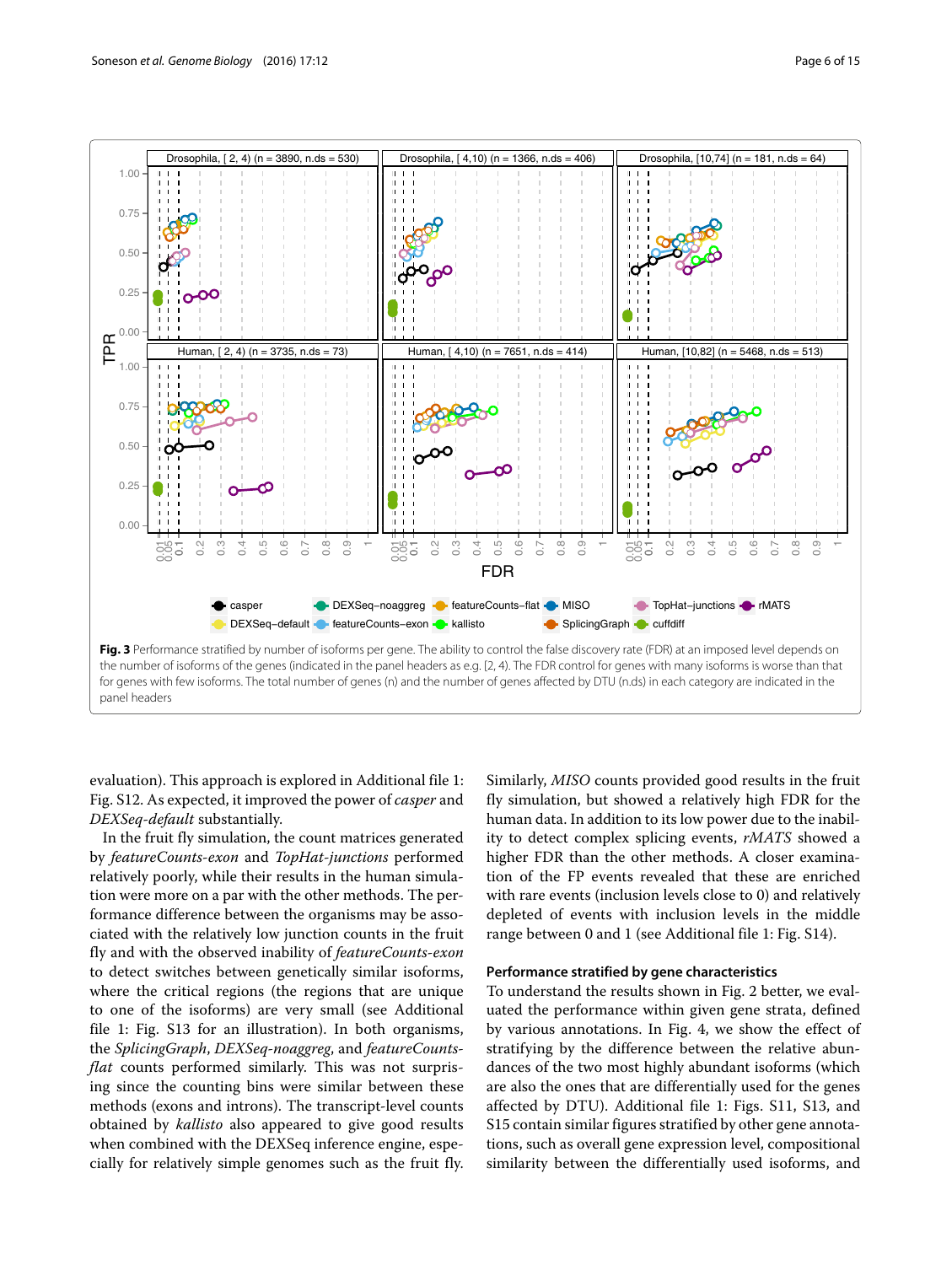

<span id="page-5-0"></span>evaluation). This approach is explored in Additional file [1:](#page-13-2) Fig. S12. As expected, it improved the power of *casper* and *DEXSeq-default* substantially.

In the fruit fly simulation, the count matrices generated by *featureCounts-exon* and *TopHat-junctions* performed relatively poorly, while their results in the human simulation were more on a par with the other methods. The performance difference between the organisms may be associated with the relatively low junction counts in the fruit fly and with the observed inability of *featureCounts-exon* to detect switches between genetically similar isoforms, where the critical regions (the regions that are unique to one of the isoforms) are very small (see Additional file [1:](#page-13-2) Fig. S13 for an illustration). In both organisms, the *SplicingGraph*, *DEXSeq-noaggreg*, and *featureCountsflat* counts performed similarly. This was not surprising since the counting bins were similar between these methods (exons and introns). The transcript-level counts obtained by *kallisto* also appeared to give good results when combined with the DEXSeq inference engine, especially for relatively simple genomes such as the fruit fly.

Similarly, *MISO* counts provided good results in the fruit fly simulation, but showed a relatively high FDR for the human data. In addition to its low power due to the inability to detect complex splicing events, *rMATS* showed a higher FDR than the other methods. A closer examination of the FP events revealed that these are enriched with rare events (inclusion levels close to 0) and relatively depleted of events with inclusion levels in the middle range between 0 and 1 (see Additional file [1:](#page-13-2) Fig. S14).

#### **Performance stratified by gene characteristics**

To understand the results shown in Fig. [2](#page-4-0) better, we evaluated the performance within given gene strata, defined by various annotations. In Fig. [4,](#page-6-0) we show the effect of stratifying by the difference between the relative abundances of the two most highly abundant isoforms (which are also the ones that are differentially used for the genes affected by DTU). Additional file [1:](#page-13-2) Figs. S11, S13, and S15 contain similar figures stratified by other gene annotations, such as overall gene expression level, compositional similarity between the differentially used isoforms, and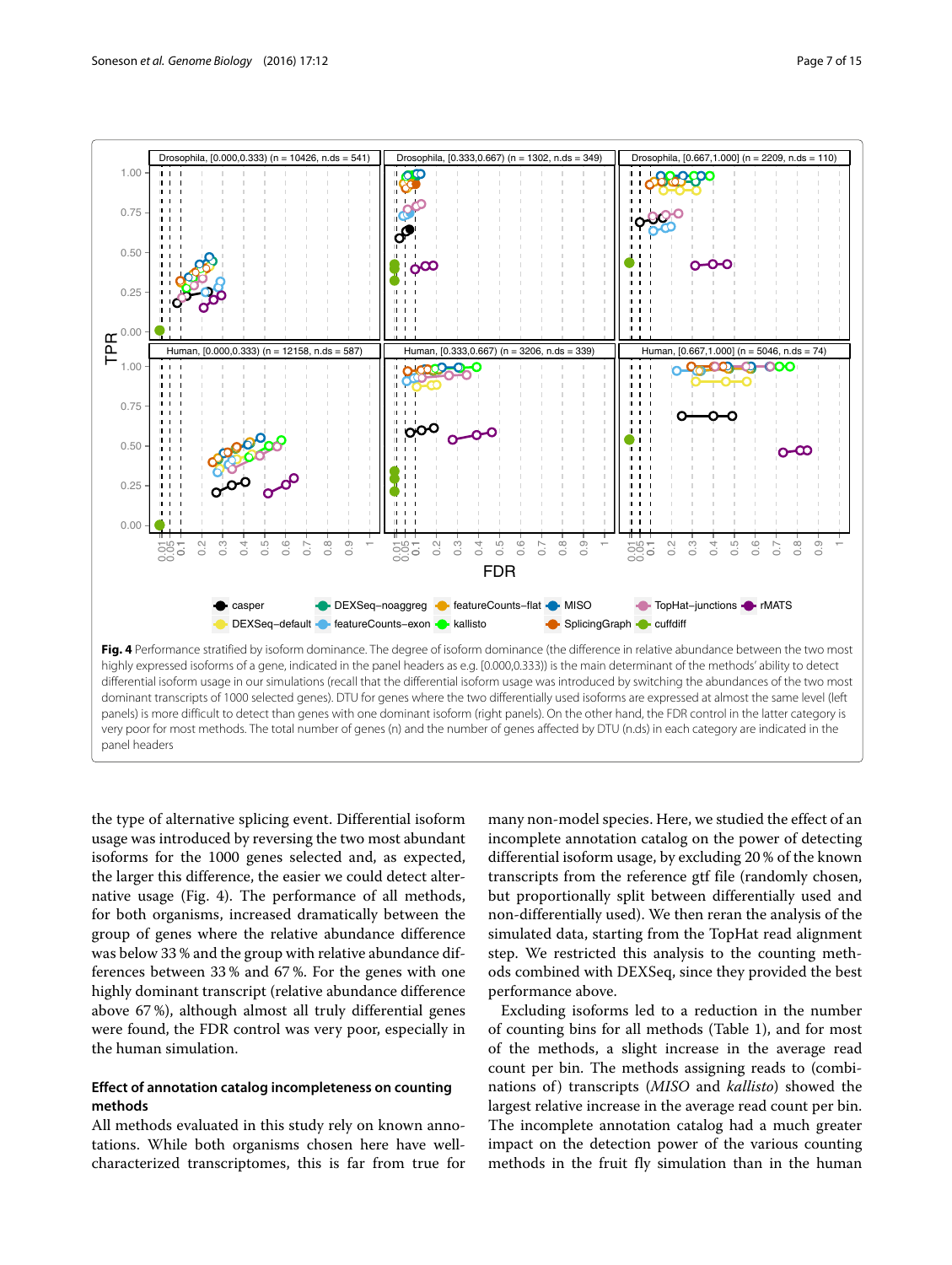

<span id="page-6-0"></span>the type of alternative splicing event. Differential isoform usage was introduced by reversing the two most abundant isoforms for the 1000 genes selected and, as expected, the larger this difference, the easier we could detect alternative usage (Fig. [4\)](#page-6-0). The performance of all methods, for both organisms, increased dramatically between the group of genes where the relative abundance difference was below 33 % and the group with relative abundance differences between 33 % and 67 %. For the genes with one highly dominant transcript (relative abundance difference above 67 %), although almost all truly differential genes were found, the FDR control was very poor, especially in the human simulation.

#### **Effect of annotation catalog incompleteness on counting methods**

All methods evaluated in this study rely on known annotations. While both organisms chosen here have wellcharacterized transcriptomes, this is far from true for many non-model species. Here, we studied the effect of an incomplete annotation catalog on the power of detecting differential isoform usage, by excluding 20 % of the known transcripts from the reference gtf file (randomly chosen, but proportionally split between differentially used and non-differentially used). We then reran the analysis of the simulated data, starting from the TopHat read alignment step. We restricted this analysis to the counting methods combined with DEXSeq, since they provided the best performance above.

Excluding isoforms led to a reduction in the number of counting bins for all methods (Table [1\)](#page-7-0), and for most of the methods, a slight increase in the average read count per bin. The methods assigning reads to (combinations of) transcripts (*MISO* and *kallisto*) showed the largest relative increase in the average read count per bin. The incomplete annotation catalog had a much greater impact on the detection power of the various counting methods in the fruit fly simulation than in the human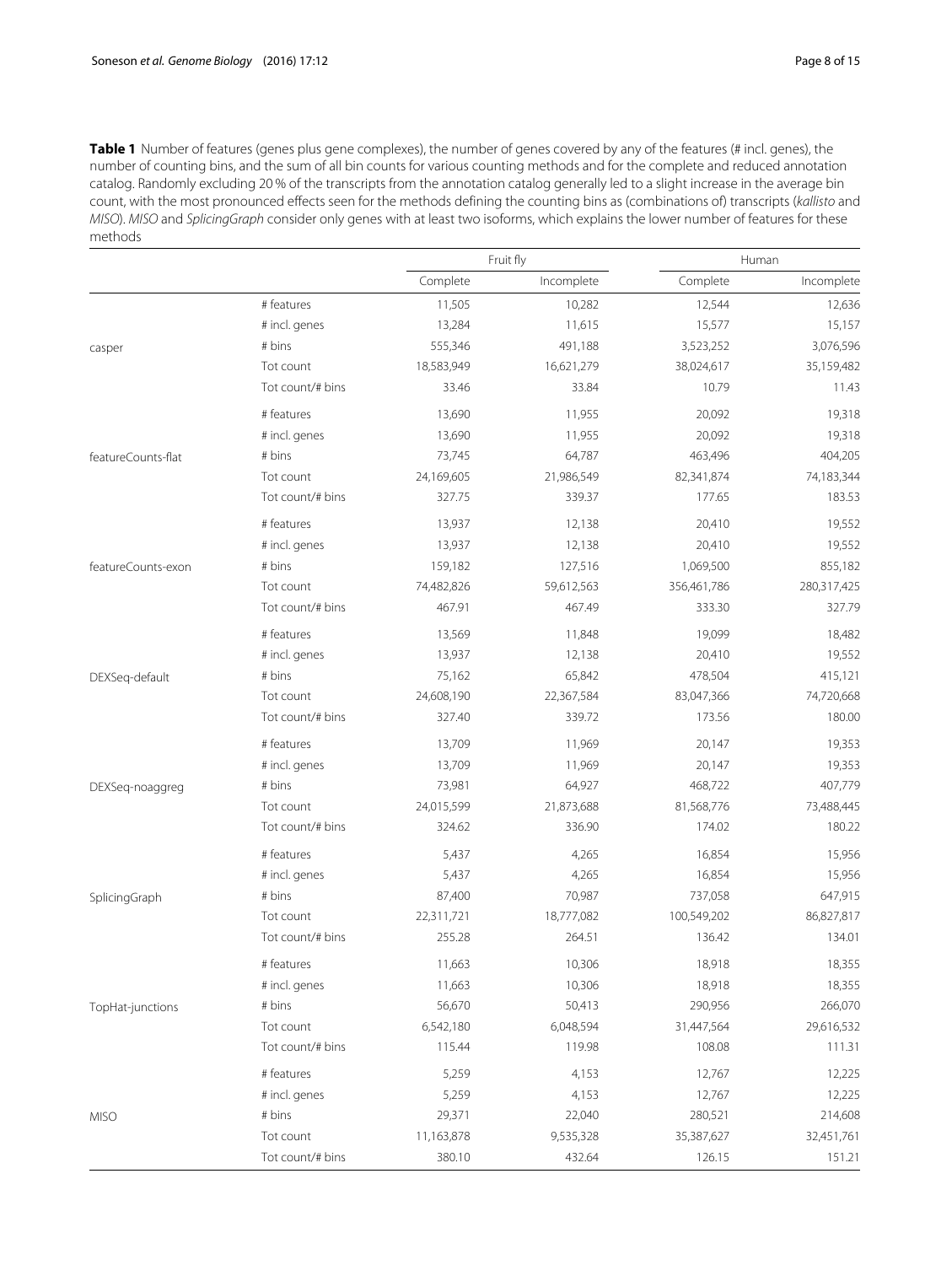<span id="page-7-0"></span>**Table 1** Number of features (genes plus gene complexes), the number of genes covered by any of the features (# incl. genes), the number of counting bins, and the sum of all bin counts for various counting methods and for the complete and reduced annotation catalog. Randomly excluding 20 % of the transcripts from the annotation catalog generally led to a slight increase in the average bin count, with the most pronounced effects seen for the methods defining the counting bins as (combinations of) transcripts (kallisto and MISO). MISO and SplicingGraph consider only genes with at least two isoforms, which explains the lower number of features for these methods

|                    |                  | Fruit fly  |            | Human       |             |
|--------------------|------------------|------------|------------|-------------|-------------|
|                    |                  | Complete   | Incomplete | Complete    | Incomplete  |
|                    | # features       | 11,505     | 10,282     | 12,544      | 12,636      |
|                    | # incl. genes    | 13,284     | 11,615     | 15,577      | 15,157      |
| casper             | # bins           | 555,346    | 491,188    | 3,523,252   | 3,076,596   |
|                    | Tot count        | 18,583,949 | 16,621,279 | 38,024,617  | 35,159,482  |
|                    | Tot count/# bins | 33.46      | 33.84      | 10.79       | 11.43       |
| featureCounts-flat | # features       | 13,690     | 11,955     | 20,092      | 19,318      |
|                    | # incl. genes    | 13,690     | 11,955     | 20,092      | 19,318      |
|                    | # bins           | 73,745     | 64,787     | 463,496     | 404,205     |
|                    | Tot count        | 24,169,605 | 21,986,549 | 82,341,874  | 74,183,344  |
|                    | Tot count/# bins | 327.75     | 339.37     | 177.65      | 183.53      |
|                    | # features       | 13,937     | 12,138     | 20,410      | 19,552      |
|                    | # incl. genes    | 13,937     | 12,138     | 20,410      | 19,552      |
| featureCounts-exon | # bins           | 159,182    | 127,516    | 1,069,500   | 855,182     |
|                    | Tot count        | 74,482,826 | 59,612,563 | 356,461,786 | 280,317,425 |
|                    | Tot count/# bins | 467.91     | 467.49     | 333.30      | 327.79      |
|                    | # features       | 13,569     | 11,848     | 19,099      | 18,482      |
|                    | # incl. genes    | 13,937     | 12,138     | 20,410      | 19,552      |
| DEXSeq-default     | # bins           | 75,162     | 65,842     | 478,504     | 415,121     |
|                    | Tot count        | 24,608,190 | 22,367,584 | 83,047,366  | 74,720,668  |
|                    | Tot count/# bins | 327.40     | 339.72     | 173.56      | 180.00      |
|                    | # features       | 13,709     | 11,969     | 20,147      | 19,353      |
|                    | # incl. genes    | 13,709     | 11,969     | 20,147      | 19,353      |
| DEXSeq-noaggreg    | # bins           | 73,981     | 64,927     | 468,722     | 407,779     |
|                    | Tot count        | 24,015,599 | 21,873,688 | 81,568,776  | 73,488,445  |
|                    | Tot count/# bins | 324.62     | 336.90     | 174.02      | 180.22      |
|                    | # features       | 5,437      | 4,265      | 16,854      | 15,956      |
|                    | # incl. genes    | 5,437      | 4,265      | 16,854      | 15,956      |
| SplicingGraph      | # bins           | 87,400     | 70,987     | 737,058     | 647,915     |
|                    | Tot count        | 22,311,721 | 18,777,082 | 100,549,202 | 86,827,817  |
|                    | Tot count/# bins | 255.28     | 264.51     | 136.42      | 134.01      |
|                    | # features       | 11,663     | 10,306     | 18,918      | 18,355      |
| TopHat-junctions   | # incl. genes    | 11,663     | 10,306     | 18,918      | 18,355      |
|                    | # bins           | 56,670     | 50,413     | 290,956     | 266,070     |
|                    | Tot count        | 6,542,180  | 6,048,594  | 31,447,564  | 29,616,532  |
|                    | Tot count/# bins | 115.44     | 119.98     | 108.08      | 111.31      |
| <b>MISO</b>        | # features       | 5,259      | 4,153      | 12,767      | 12,225      |
|                    | # incl. genes    | 5,259      | 4,153      | 12,767      | 12,225      |
|                    | # bins           | 29,371     | 22,040     | 280,521     | 214,608     |
|                    | Tot count        | 11,163,878 | 9,535,328  | 35,387,627  | 32,451,761  |
|                    | Tot count/# bins | 380.10     | 432.64     | 126.15      | 151.21      |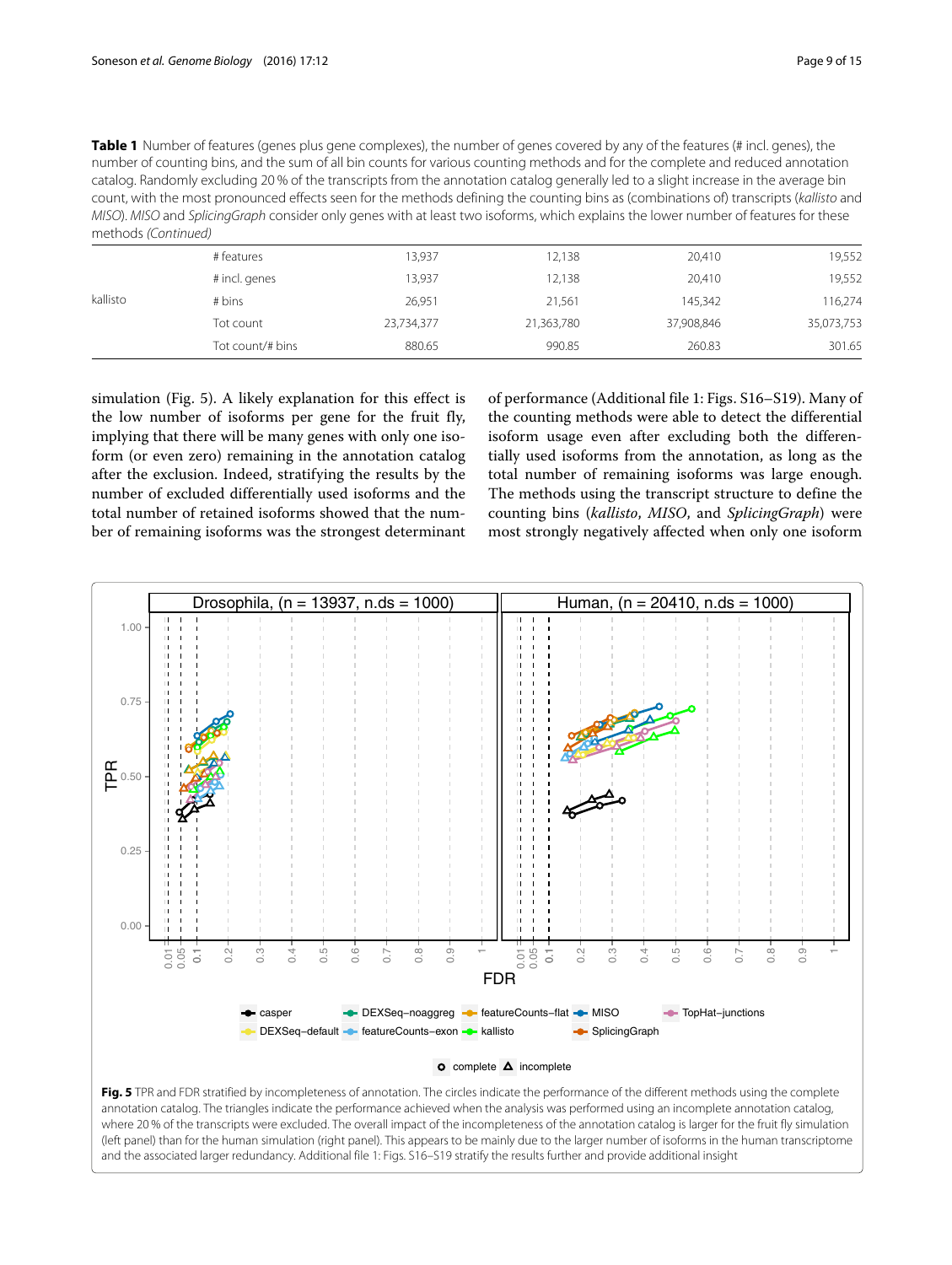| <b>Table 1</b> Number of features (genes plus gene complexes), the number of genes covered by any of the features (# incl. genes), the |
|----------------------------------------------------------------------------------------------------------------------------------------|
| number of counting bins, and the sum of all bin counts for various counting methods and for the complete and reduced annotation        |
| catalog. Randomly excluding 20% of the transcripts from the annotation catalog generally led to a slight increase in the average bin   |
| count, with the most pronounced effects seen for the methods defining the counting bins as (combinations of) transcripts (kallisto and |
| MISO). MISO and SplicingGraph consider only genes with at least two isoforms, which explains the lower number of features for these    |
| methods (Continued)                                                                                                                    |

|          | Tot count/# bins | 880.65     | 990.85     | 260.83     | 301.65     |
|----------|------------------|------------|------------|------------|------------|
| kallisto | Tot count i      | 23,734,377 | 21,363,780 | 37,908,846 | 35,073,753 |
|          | # bins           | 26,951     | 21,561     | 145.342    | 116,274    |
|          | # incl. genes    | 13,937     | 12,138     | 20,410     | 19,552     |
|          | # features       | 13,937     | 12,138     | 20,410     | 19,552     |

simulation (Fig. [5\)](#page-8-0). A likely explanation for this effect is the low number of isoforms per gene for the fruit fly, implying that there will be many genes with only one isoform (or even zero) remaining in the annotation catalog after the exclusion. Indeed, stratifying the results by the number of excluded differentially used isoforms and the total number of retained isoforms showed that the number of remaining isoforms was the strongest determinant of performance (Additional file [1:](#page-13-2) Figs. S16–S19). Many of the counting methods were able to detect the differential isoform usage even after excluding both the differentially used isoforms from the annotation, as long as the total number of remaining isoforms was large enough. The methods using the transcript structure to define the counting bins (*kallisto*, *MISO*, and *SplicingGraph*) were most strongly negatively affected when only one isoform



<span id="page-8-0"></span>**Fig. 5** TPR and FDR stratified by incompleteness of annotation. The circles indicate the performance of the different methods using the complete annotation catalog. The triangles indicate the performance achieved when the analysis was performed using an incomplete annotation catalog, where 20 % of the transcripts were excluded. The overall impact of the incompleteness of the annotation catalog is larger for the fruit fly simulation (left panel) than for the human simulation (right panel). This appears to be mainly due to the larger number of isoforms in the human transcriptome and the associated larger redundancy. Additional file [1:](#page-13-2) Figs. S16–S19 stratify the results further and provide additional insight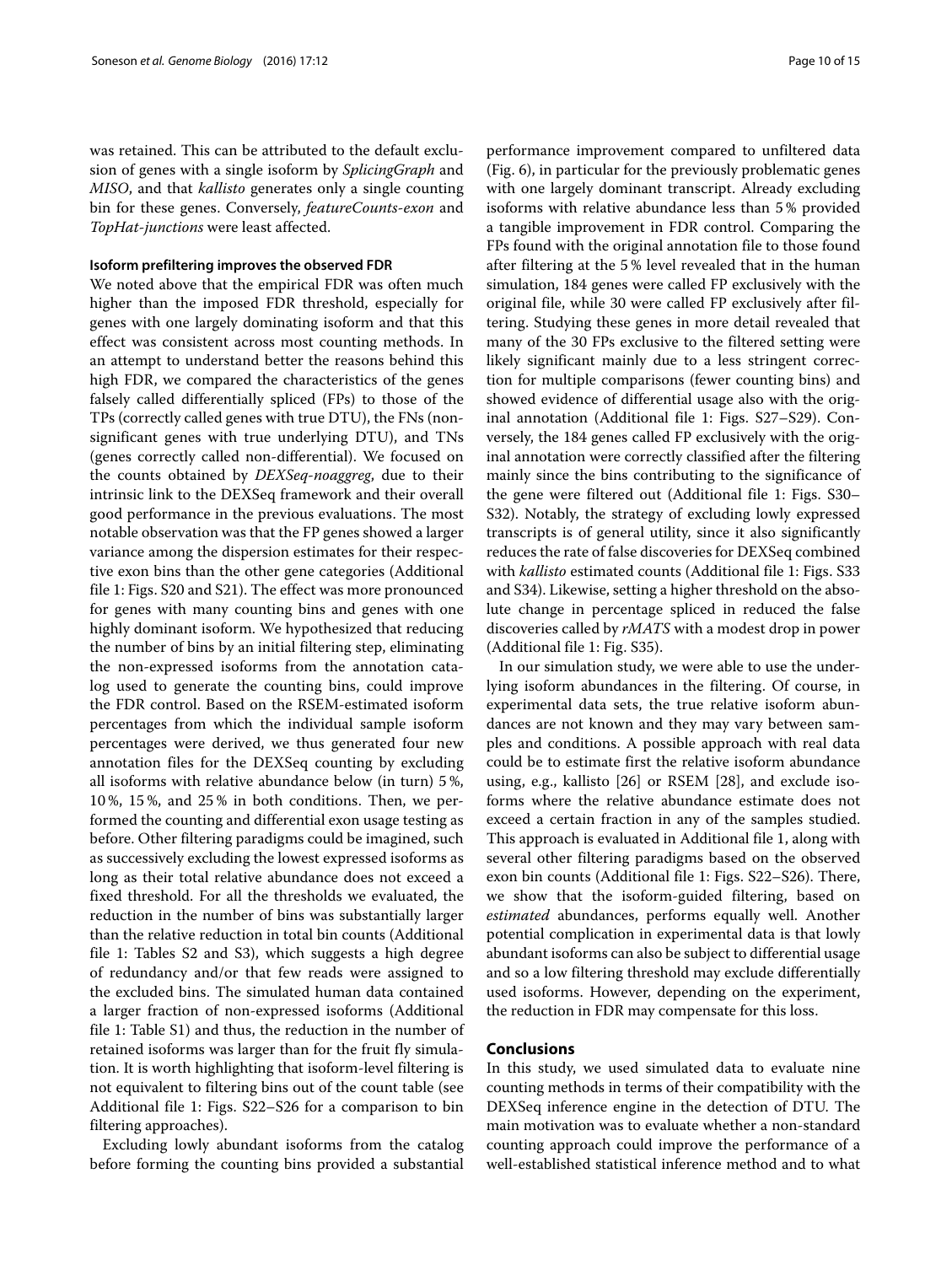was retained. This can be attributed to the default exclusion of genes with a single isoform by *SplicingGraph* and *MISO*, and that *kallisto* generates only a single counting bin for these genes. Conversely, *featureCounts-exon* and *TopHat-junctions* were least affected.

#### **Isoform prefiltering improves the observed FDR**

We noted above that the empirical FDR was often much higher than the imposed FDR threshold, especially for genes with one largely dominating isoform and that this effect was consistent across most counting methods. In an attempt to understand better the reasons behind this high FDR, we compared the characteristics of the genes falsely called differentially spliced (FPs) to those of the TPs (correctly called genes with true DTU), the FNs (nonsignificant genes with true underlying DTU), and TNs (genes correctly called non-differential). We focused on the counts obtained by *DEXSeq-noaggreg*, due to their intrinsic link to the DEXSeq framework and their overall good performance in the previous evaluations. The most notable observation was that the FP genes showed a larger variance among the dispersion estimates for their respective exon bins than the other gene categories (Additional file [1:](#page-13-2) Figs. S20 and S21). The effect was more pronounced for genes with many counting bins and genes with one highly dominant isoform. We hypothesized that reducing the number of bins by an initial filtering step, eliminating the non-expressed isoforms from the annotation catalog used to generate the counting bins, could improve the FDR control. Based on the RSEM-estimated isoform percentages from which the individual sample isoform percentages were derived, we thus generated four new annotation files for the DEXSeq counting by excluding all isoforms with relative abundance below (in turn) 5 %, 10 %, 15 %, and 25 % in both conditions. Then, we performed the counting and differential exon usage testing as before. Other filtering paradigms could be imagined, such as successively excluding the lowest expressed isoforms as long as their total relative abundance does not exceed a fixed threshold. For all the thresholds we evaluated, the reduction in the number of bins was substantially larger than the relative reduction in total bin counts (Additional file [1:](#page-13-2) Tables S2 and S3), which suggests a high degree of redundancy and/or that few reads were assigned to the excluded bins. The simulated human data contained a larger fraction of non-expressed isoforms (Additional file [1:](#page-13-2) Table S1) and thus, the reduction in the number of retained isoforms was larger than for the fruit fly simulation. It is worth highlighting that isoform-level filtering is not equivalent to filtering bins out of the count table (see Additional file [1:](#page-13-2) Figs. S22–S26 for a comparison to bin filtering approaches).

Excluding lowly abundant isoforms from the catalog before forming the counting bins provided a substantial performance improvement compared to unfiltered data (Fig. [6\)](#page-10-0), in particular for the previously problematic genes with one largely dominant transcript. Already excluding isoforms with relative abundance less than 5 % provided a tangible improvement in FDR control. Comparing the FPs found with the original annotation file to those found after filtering at the 5 % level revealed that in the human simulation, 184 genes were called FP exclusively with the original file, while 30 were called FP exclusively after filtering. Studying these genes in more detail revealed that many of the 30 FPs exclusive to the filtered setting were likely significant mainly due to a less stringent correction for multiple comparisons (fewer counting bins) and showed evidence of differential usage also with the original annotation (Additional file [1:](#page-13-2) Figs. S27–S29). Conversely, the 184 genes called FP exclusively with the original annotation were correctly classified after the filtering mainly since the bins contributing to the significance of the gene were filtered out (Additional file [1:](#page-13-2) Figs. S30– S32). Notably, the strategy of excluding lowly expressed transcripts is of general utility, since it also significantly reduces the rate of false discoveries for DEXSeq combined with *kallisto* estimated counts (Additional file [1:](#page-13-2) Figs. S33 and S34). Likewise, setting a higher threshold on the absolute change in percentage spliced in reduced the false discoveries called by *rMATS* with a modest drop in power (Additional file [1:](#page-13-2) Fig. S35).

In our simulation study, we were able to use the underlying isoform abundances in the filtering. Of course, in experimental data sets, the true relative isoform abundances are not known and they may vary between samples and conditions. A possible approach with real data could be to estimate first the relative isoform abundance using, e.g., kallisto [\[26\]](#page-14-20) or RSEM [\[28\]](#page-14-22), and exclude isoforms where the relative abundance estimate does not exceed a certain fraction in any of the samples studied. This approach is evaluated in Additional file [1,](#page-13-2) along with several other filtering paradigms based on the observed exon bin counts (Additional file [1:](#page-13-2) Figs. S22–S26). There, we show that the isoform-guided filtering, based on *estimated* abundances, performs equally well. Another potential complication in experimental data is that lowly abundant isoforms can also be subject to differential usage and so a low filtering threshold may exclude differentially used isoforms. However, depending on the experiment, the reduction in FDR may compensate for this loss.

#### **Conclusions**

In this study, we used simulated data to evaluate nine counting methods in terms of their compatibility with the DEXSeq inference engine in the detection of DTU. The main motivation was to evaluate whether a non-standard counting approach could improve the performance of a well-established statistical inference method and to what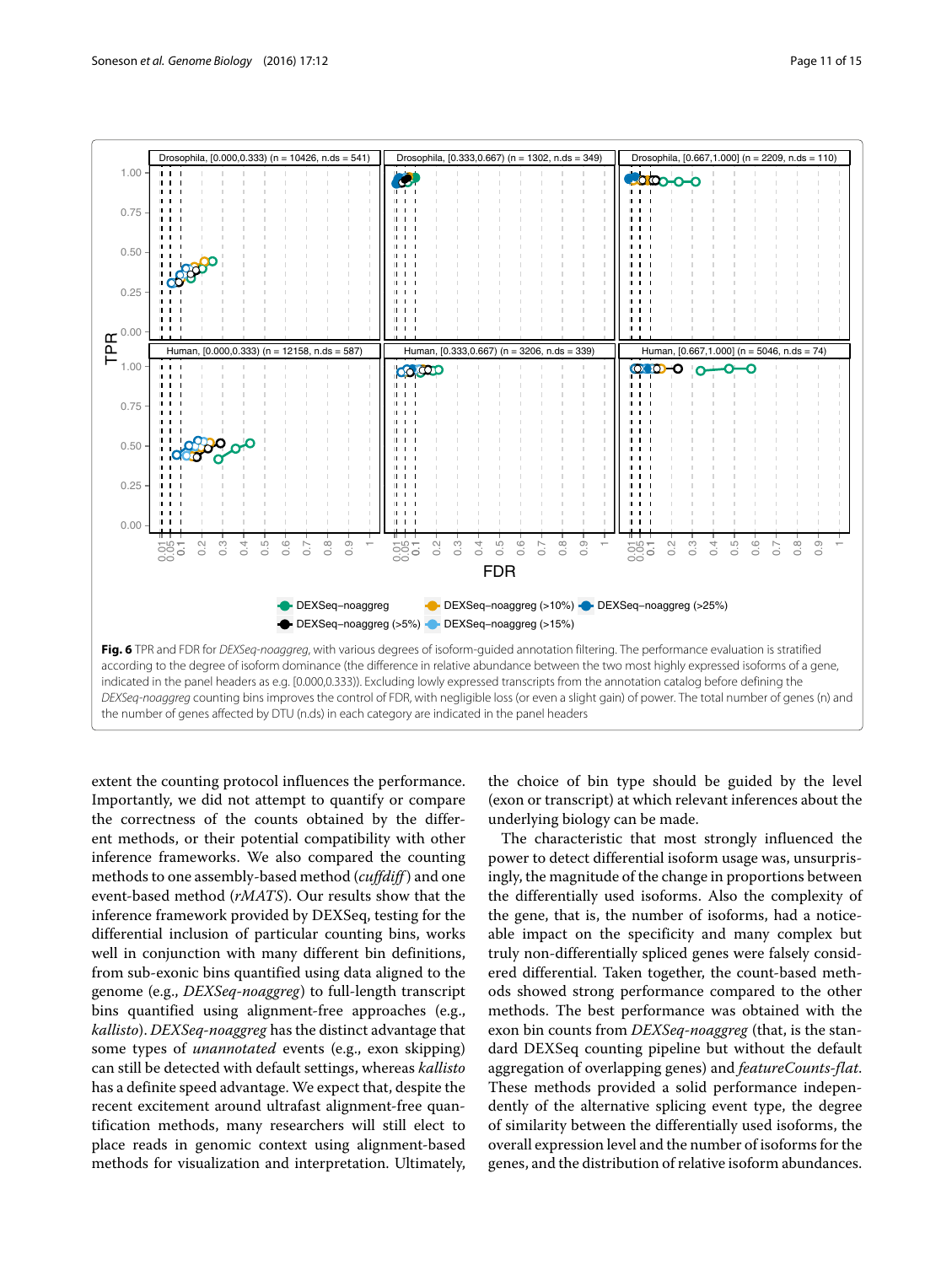

<span id="page-10-0"></span>extent the counting protocol influences the performance. Importantly, we did not attempt to quantify or compare the correctness of the counts obtained by the different methods, or their potential compatibility with other inference frameworks. We also compared the counting methods to one assembly-based method (*cuffdiff* ) and one event-based method (*rMATS*). Our results show that the inference framework provided by DEXSeq, testing for the differential inclusion of particular counting bins, works well in conjunction with many different bin definitions, from sub-exonic bins quantified using data aligned to the genome (e.g., *DEXSeq-noaggreg*) to full-length transcript bins quantified using alignment-free approaches (e.g., *kallisto*). *DEXSeq-noaggreg* has the distinct advantage that some types of *unannotated* events (e.g., exon skipping) can still be detected with default settings, whereas *kallisto* has a definite speed advantage. We expect that, despite the recent excitement around ultrafast alignment-free quantification methods, many researchers will still elect to place reads in genomic context using alignment-based methods for visualization and interpretation. Ultimately,

the choice of bin type should be guided by the level (exon or transcript) at which relevant inferences about the underlying biology can be made.

The characteristic that most strongly influenced the power to detect differential isoform usage was, unsurprisingly, the magnitude of the change in proportions between the differentially used isoforms. Also the complexity of the gene, that is, the number of isoforms, had a noticeable impact on the specificity and many complex but truly non-differentially spliced genes were falsely considered differential. Taken together, the count-based methods showed strong performance compared to the other methods. The best performance was obtained with the exon bin counts from *DEXSeq-noaggreg* (that, is the standard DEXSeq counting pipeline but without the default aggregation of overlapping genes) and *featureCounts-flat*. These methods provided a solid performance independently of the alternative splicing event type, the degree of similarity between the differentially used isoforms, the overall expression level and the number of isoforms for the genes, and the distribution of relative isoform abundances.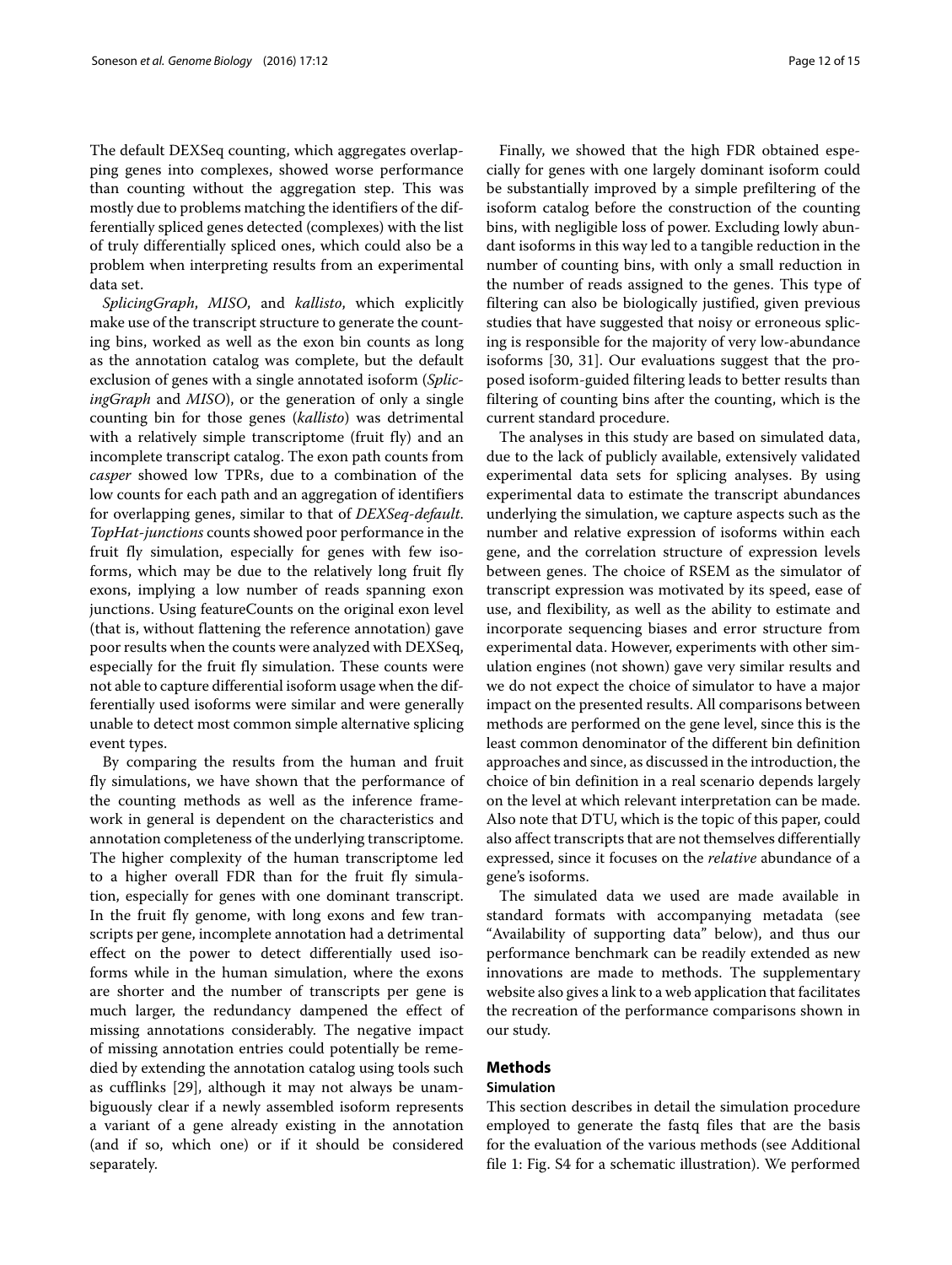The default DEXSeq counting, which aggregates overlapping genes into complexes, showed worse performance than counting without the aggregation step. This was mostly due to problems matching the identifiers of the differentially spliced genes detected (complexes) with the list of truly differentially spliced ones, which could also be a problem when interpreting results from an experimental data set.

*SplicingGraph*, *MISO*, and *kallisto*, which explicitly make use of the transcript structure to generate the counting bins, worked as well as the exon bin counts as long as the annotation catalog was complete, but the default exclusion of genes with a single annotated isoform (*SplicingGraph* and *MISO*), or the generation of only a single counting bin for those genes (*kallisto*) was detrimental with a relatively simple transcriptome (fruit fly) and an incomplete transcript catalog. The exon path counts from *casper* showed low TPRs, due to a combination of the low counts for each path and an aggregation of identifiers for overlapping genes, similar to that of *DEXSeq-default*. *TopHat-junctions* counts showed poor performance in the fruit fly simulation, especially for genes with few isoforms, which may be due to the relatively long fruit fly exons, implying a low number of reads spanning exon junctions. Using featureCounts on the original exon level (that is, without flattening the reference annotation) gave poor results when the counts were analyzed with DEXSeq, especially for the fruit fly simulation. These counts were not able to capture differential isoform usage when the differentially used isoforms were similar and were generally unable to detect most common simple alternative splicing event types.

By comparing the results from the human and fruit fly simulations, we have shown that the performance of the counting methods as well as the inference framework in general is dependent on the characteristics and annotation completeness of the underlying transcriptome. The higher complexity of the human transcriptome led to a higher overall FDR than for the fruit fly simulation, especially for genes with one dominant transcript. In the fruit fly genome, with long exons and few transcripts per gene, incomplete annotation had a detrimental effect on the power to detect differentially used isoforms while in the human simulation, where the exons are shorter and the number of transcripts per gene is much larger, the redundancy dampened the effect of missing annotations considerably. The negative impact of missing annotation entries could potentially be remedied by extending the annotation catalog using tools such as cufflinks [\[29\]](#page-14-23), although it may not always be unambiguously clear if a newly assembled isoform represents a variant of a gene already existing in the annotation (and if so, which one) or if it should be considered separately.

Finally, we showed that the high FDR obtained especially for genes with one largely dominant isoform could be substantially improved by a simple prefiltering of the isoform catalog before the construction of the counting bins, with negligible loss of power. Excluding lowly abundant isoforms in this way led to a tangible reduction in the number of counting bins, with only a small reduction in the number of reads assigned to the genes. This type of filtering can also be biologically justified, given previous studies that have suggested that noisy or erroneous splicing is responsible for the majority of very low-abundance isoforms [\[30,](#page-14-24) [31\]](#page-14-25). Our evaluations suggest that the proposed isoform-guided filtering leads to better results than filtering of counting bins after the counting, which is the current standard procedure.

The analyses in this study are based on simulated data, due to the lack of publicly available, extensively validated experimental data sets for splicing analyses. By using experimental data to estimate the transcript abundances underlying the simulation, we capture aspects such as the number and relative expression of isoforms within each gene, and the correlation structure of expression levels between genes. The choice of RSEM as the simulator of transcript expression was motivated by its speed, ease of use, and flexibility, as well as the ability to estimate and incorporate sequencing biases and error structure from experimental data. However, experiments with other simulation engines (not shown) gave very similar results and we do not expect the choice of simulator to have a major impact on the presented results. All comparisons between methods are performed on the gene level, since this is the least common denominator of the different bin definition approaches and since, as discussed in the introduction, the choice of bin definition in a real scenario depends largely on the level at which relevant interpretation can be made. Also note that DTU, which is the topic of this paper, could also affect transcripts that are not themselves differentially expressed, since it focuses on the *relative* abundance of a gene's isoforms.

The simulated data we used are made available in standard formats with accompanying metadata (see ["Availability of supporting data"](#page-13-3) below), and thus our performance benchmark can be readily extended as new innovations are made to methods. The supplementary website also gives a link to a web application that facilitates the recreation of the performance comparisons shown in our study.

### <span id="page-11-0"></span>**Methods**

#### **Simulation**

This section describes in detail the simulation procedure employed to generate the fastq files that are the basis for the evaluation of the various methods (see Additional file [1:](#page-13-2) Fig. S4 for a schematic illustration). We performed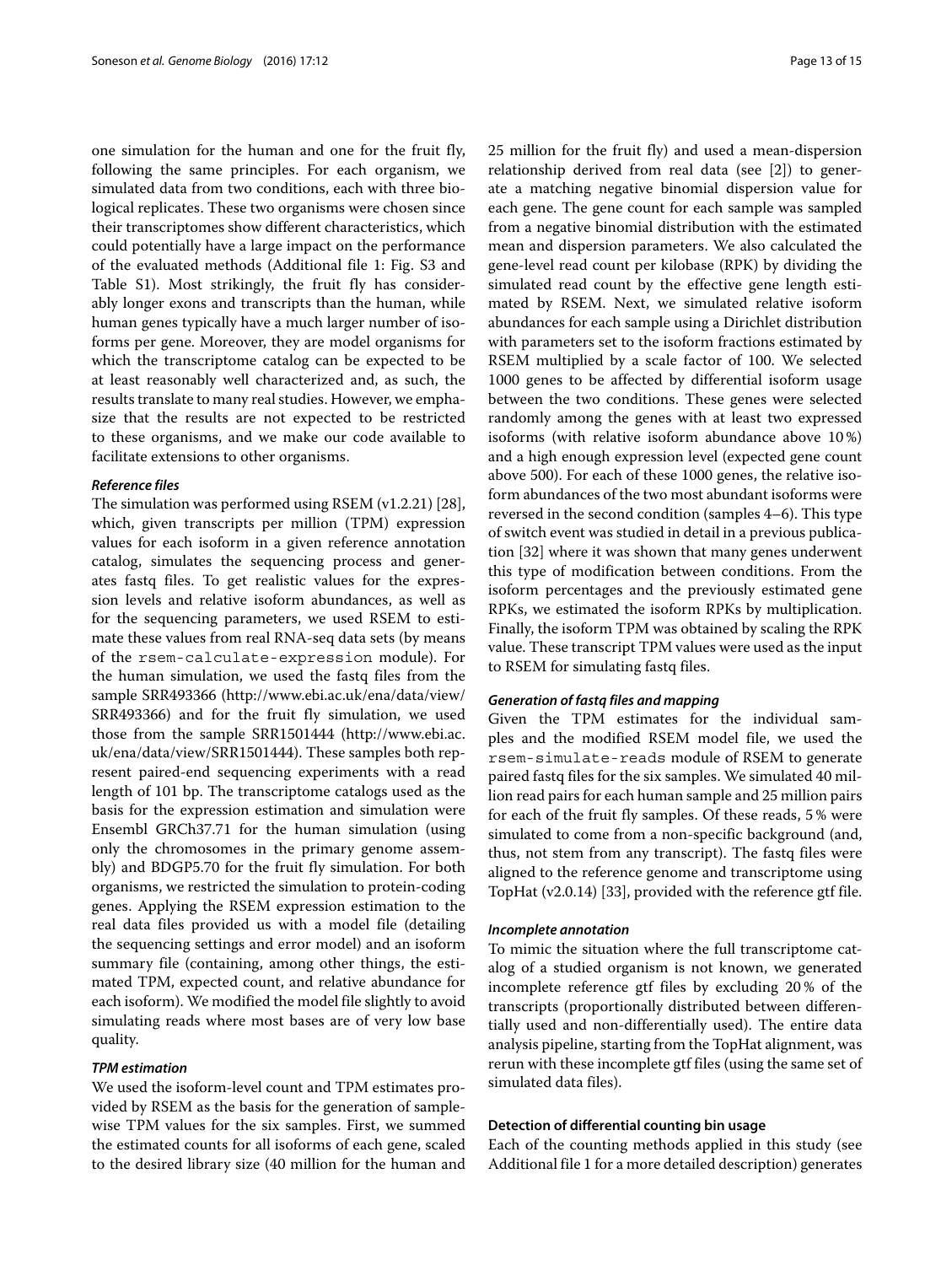one simulation for the human and one for the fruit fly, following the same principles. For each organism, we simulated data from two conditions, each with three biological replicates. These two organisms were chosen since their transcriptomes show different characteristics, which could potentially have a large impact on the performance of the evaluated methods (Additional file [1:](#page-13-2) Fig. S3 and Table S1). Most strikingly, the fruit fly has considerably longer exons and transcripts than the human, while human genes typically have a much larger number of isoforms per gene. Moreover, they are model organisms for which the transcriptome catalog can be expected to be at least reasonably well characterized and, as such, the results translate to many real studies. However, we emphasize that the results are not expected to be restricted to these organisms, and we make our code available to facilitate extensions to other organisms.

#### *Reference files*

The simulation was performed using RSEM (v1.2.21) [\[28\]](#page-14-22), which, given transcripts per million (TPM) expression values for each isoform in a given reference annotation catalog, simulates the sequencing process and generates fastq files. To get realistic values for the expression levels and relative isoform abundances, as well as for the sequencing parameters, we used RSEM to estimate these values from real RNA-seq data sets (by means of the rsem-calculate-expression module). For the human simulation, we used the fastq files from the sample SRR493366 [\(http://www.ebi.ac.uk/ena/data/view/](http://www.ebi.ac.uk/ena/data/view/SRR493366) [SRR493366\)](http://www.ebi.ac.uk/ena/data/view/SRR493366) and for the fruit fly simulation, we used those from the sample SRR1501444 [\(http://www.ebi.ac.](http://www.ebi.ac.uk/ena/data/view/SRR1501444) [uk/ena/data/view/SRR1501444\)](http://www.ebi.ac.uk/ena/data/view/SRR1501444). These samples both represent paired-end sequencing experiments with a read length of 101 bp. The transcriptome catalogs used as the basis for the expression estimation and simulation were Ensembl GRCh37.71 for the human simulation (using only the chromosomes in the primary genome assembly) and BDGP5.70 for the fruit fly simulation. For both organisms, we restricted the simulation to protein-coding genes. Applying the RSEM expression estimation to the real data files provided us with a model file (detailing the sequencing settings and error model) and an isoform summary file (containing, among other things, the estimated TPM, expected count, and relative abundance for each isoform). We modified the model file slightly to avoid simulating reads where most bases are of very low base quality.

#### *TPM estimation*

We used the isoform-level count and TPM estimates provided by RSEM as the basis for the generation of samplewise TPM values for the six samples. First, we summed the estimated counts for all isoforms of each gene, scaled to the desired library size (40 million for the human and 25 million for the fruit fly) and used a mean-dispersion relationship derived from real data (see [\[2\]](#page-13-4)) to generate a matching negative binomial dispersion value for each gene. The gene count for each sample was sampled from a negative binomial distribution with the estimated mean and dispersion parameters. We also calculated the gene-level read count per kilobase (RPK) by dividing the simulated read count by the effective gene length estimated by RSEM. Next, we simulated relative isoform abundances for each sample using a Dirichlet distribution with parameters set to the isoform fractions estimated by RSEM multiplied by a scale factor of 100. We selected 1000 genes to be affected by differential isoform usage between the two conditions. These genes were selected randomly among the genes with at least two expressed isoforms (with relative isoform abundance above 10 %) and a high enough expression level (expected gene count above 500). For each of these 1000 genes, the relative isoform abundances of the two most abundant isoforms were reversed in the second condition (samples 4–6). This type of switch event was studied in detail in a previous publication [\[32\]](#page-14-26) where it was shown that many genes underwent this type of modification between conditions. From the isoform percentages and the previously estimated gene RPKs, we estimated the isoform RPKs by multiplication. Finally, the isoform TPM was obtained by scaling the RPK value. These transcript TPM values were used as the input to RSEM for simulating fastq files.

#### *Generation of fastq files and mapping*

Given the TPM estimates for the individual samples and the modified RSEM model file, we used the rsem-simulate-reads module of RSEM to generate paired fastq files for the six samples. We simulated 40 million read pairs for each human sample and 25 million pairs for each of the fruit fly samples. Of these reads, 5 % were simulated to come from a non-specific background (and, thus, not stem from any transcript). The fastq files were aligned to the reference genome and transcriptome using TopHat (v2.0.14) [\[33\]](#page-14-27), provided with the reference gtf file.

#### *Incomplete annotation*

To mimic the situation where the full transcriptome catalog of a studied organism is not known, we generated incomplete reference gtf files by excluding 20 % of the transcripts (proportionally distributed between differentially used and non-differentially used). The entire data analysis pipeline, starting from the TopHat alignment, was rerun with these incomplete gtf files (using the same set of simulated data files).

#### **Detection of differential counting bin usage**

Each of the counting methods applied in this study (see Additional file [1](#page-13-2) for a more detailed description) generates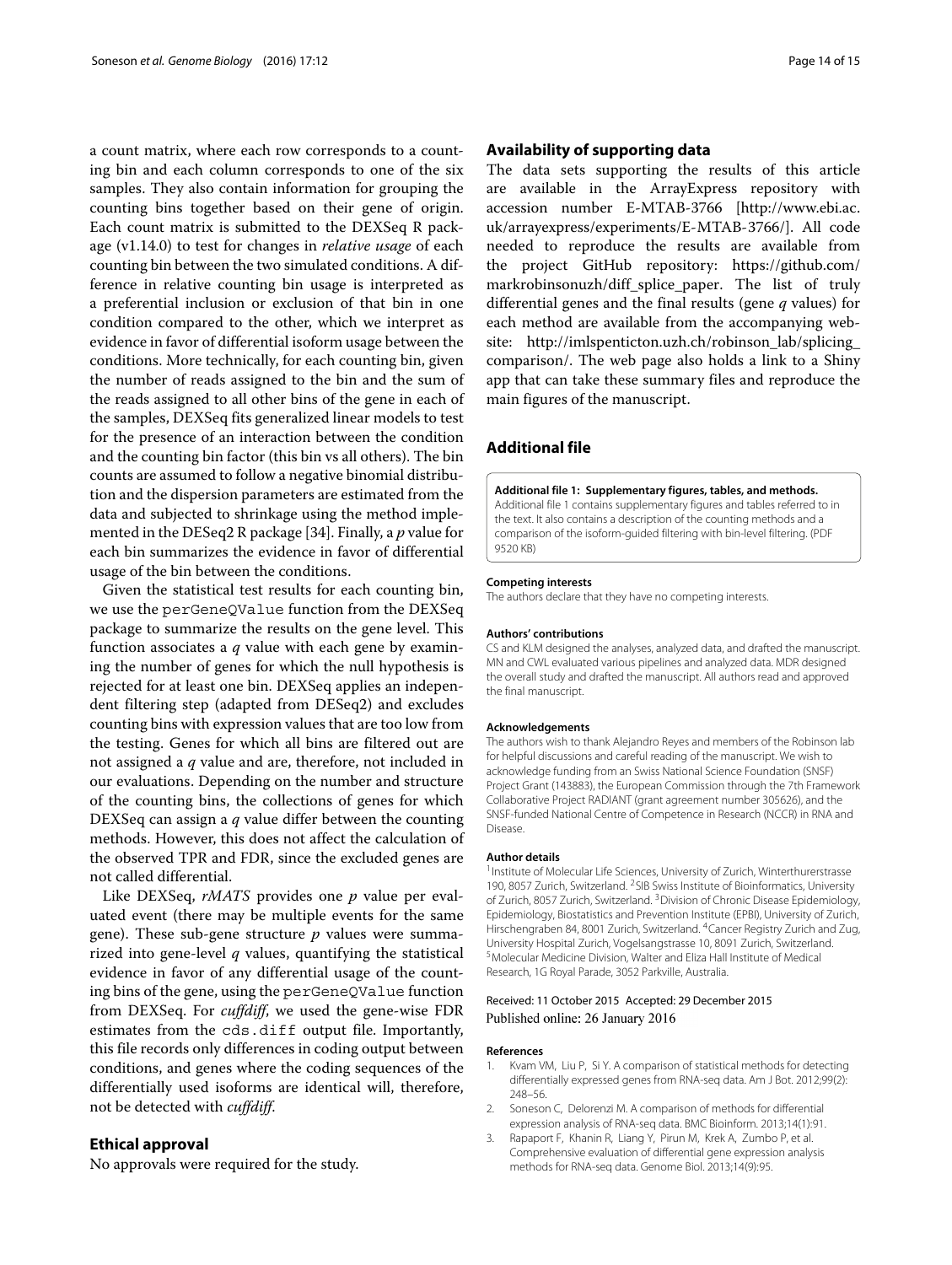a count matrix, where each row corresponds to a counting bin and each column corresponds to one of the six samples. They also contain information for grouping the counting bins together based on their gene of origin. Each count matrix is submitted to the DEXSeq R package (v1.14.0) to test for changes in *relative usage* of each counting bin between the two simulated conditions. A difference in relative counting bin usage is interpreted as a preferential inclusion or exclusion of that bin in one condition compared to the other, which we interpret as evidence in favor of differential isoform usage between the conditions. More technically, for each counting bin, given the number of reads assigned to the bin and the sum of the reads assigned to all other bins of the gene in each of the samples, DEXSeq fits generalized linear models to test for the presence of an interaction between the condition and the counting bin factor (this bin vs all others). The bin counts are assumed to follow a negative binomial distribution and the dispersion parameters are estimated from the data and subjected to shrinkage using the method implemented in the DESeq2 R package [\[34\]](#page-14-28). Finally, a *p* value for each bin summarizes the evidence in favor of differential usage of the bin between the conditions.

Given the statistical test results for each counting bin, we use the perGeneQValue function from the DEXSeq package to summarize the results on the gene level. This function associates a *q* value with each gene by examining the number of genes for which the null hypothesis is rejected for at least one bin. DEXSeq applies an independent filtering step (adapted from DESeq2) and excludes counting bins with expression values that are too low from the testing. Genes for which all bins are filtered out are not assigned a *q* value and are, therefore, not included in our evaluations. Depending on the number and structure of the counting bins, the collections of genes for which DEXSeq can assign a *q* value differ between the counting methods. However, this does not affect the calculation of the observed TPR and FDR, since the excluded genes are not called differential.

Like DEXSeq, *rMATS* provides one *p* value per evaluated event (there may be multiple events for the same gene). These sub-gene structure *p* values were summarized into gene-level *q* values, quantifying the statistical evidence in favor of any differential usage of the counting bins of the gene, using the perGeneQValue function from DEXSeq. For *cuffdiff*, we used the gene-wise FDR estimates from the cds.diff output file. Importantly, this file records only differences in coding output between conditions, and genes where the coding sequences of the differentially used isoforms are identical will, therefore, not be detected with *cuffdiff*.

#### **Ethical approval**

No approvals were required for the study.

#### <span id="page-13-3"></span>**Availability of supporting data**

The data sets supporting the results of this article are available in the ArrayExpress repository with accession number E-MTAB-3766 [\[http://www.ebi.ac.](http://www.ebi.ac.uk/arrayexpress/experiments/E-MTAB-3766/) [uk/arrayexpress/experiments/E-MTAB-3766/\]](http://www.ebi.ac.uk/arrayexpress/experiments/E-MTAB-3766/). All code needed to reproduce the results are available from the project GitHub repository: [https://github.com/](https://github.com/markrobinsonuzh/diff_splice_paper) [markrobinsonuzh/diff\\_splice\\_paper.](https://github.com/markrobinsonuzh/diff_splice_paper) The list of truly differential genes and the final results (gene *q* values) for each method are available from the accompanying website: [http://imlspenticton.uzh.ch/robinson\\_lab/splicing\\_](http://imlspenticton.uzh.ch/robinson_lab/splicing_comparison/) [comparison/.](http://imlspenticton.uzh.ch/robinson_lab/splicing_comparison/) The web page also holds a link to a Shiny app that can take these summary files and reproduce the main figures of the manuscript.

#### **Additional file**

#### <span id="page-13-2"></span>**[Additional file 1:](http://dx.doi.org/10.1186/s13059-015-0862-3) Supplementary figures, tables, and methods.**

Additional file 1 contains supplementary figures and tables referred to in the text. It also contains a description of the counting methods and a comparison of the isoform-guided filtering with bin-level filtering. (PDF 9520 KB)

#### **Competing interests**

The authors declare that they have no competing interests.

#### **Authors' contributions**

CS and KLM designed the analyses, analyzed data, and drafted the manuscript. MN and CWL evaluated various pipelines and analyzed data. MDR designed the overall study and drafted the manuscript. All authors read and approved the final manuscript.

#### **Acknowledgements**

The authors wish to thank Alejandro Reyes and members of the Robinson lab for helpful discussions and careful reading of the manuscript. We wish to acknowledge funding from an Swiss National Science Foundation (SNSF) Project Grant (143883), the European Commission through the 7th Framework Collaborative Project RADIANT (grant agreement number 305626), and the SNSF-funded National Centre of Competence in Research (NCCR) in RNA and Disease.

#### **Author details**

<sup>1</sup> Institute of Molecular Life Sciences, University of Zurich, Winterthurerstrasse 190, 8057 Zurich, Switzerland. <sup>2</sup>SIB Swiss Institute of Bioinformatics, University of Zurich, 8057 Zurich, Switzerland. 3Division of Chronic Disease Epidemiology, Epidemiology, Biostatistics and Prevention Institute (EPBI), University of Zurich, Hirschengraben 84, 8001 Zurich, Switzerland. 4Cancer Registry Zurich and Zug, University Hospital Zurich, Vogelsangstrasse 10, 8091 Zurich, Switzerland. 5Molecular Medicine Division, Walter and Eliza Hall Institute of Medical Research, 1G Royal Parade, 3052 Parkville, Australia.

#### Received: 11 October 2015 Accepted: 29 December 2015 Published online: 26 January 2016

#### **References**

- <span id="page-13-0"></span>1. Kvam VM, Liu P, Si Y. A comparison of statistical methods for detecting differentially expressed genes from RNA-seq data. Am J Bot. 2012;99(2): 248–56.
- <span id="page-13-4"></span>2. Soneson C, Delorenzi M. A comparison of methods for differential expression analysis of RNA-seq data. BMC Bioinform. 2013;14(1):91.
- <span id="page-13-1"></span>3. Rapaport F, Khanin R, Liang Y, Pirun M, Krek A, Zumbo P, et al. Comprehensive evaluation of differential gene expression analysis methods for RNA-seq data. Genome Biol. 2013;14(9):95.